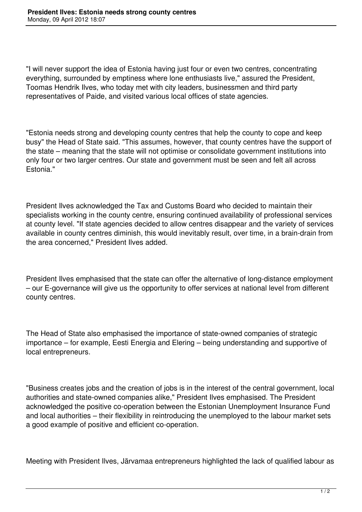"I will never support the idea of Estonia having just four or even two centres, concentrating everything, surrounded by emptiness where lone enthusiasts live," assured the President, Toomas Hendrik Ilves, who today met with city leaders, businessmen and third party representatives of Paide, and visited various local offices of state agencies.

"Estonia needs strong and developing county centres that help the county to cope and keep busy" the Head of State said. "This assumes, however, that county centres have the support of the state – meaning that the state will not optimise or consolidate government institutions into only four or two larger centres. Our state and government must be seen and felt all across Estonia."

President Ilves acknowledged the Tax and Customs Board who decided to maintain their specialists working in the county centre, ensuring continued availability of professional services at county level. "If state agencies decided to allow centres disappear and the variety of services available in county centres diminish, this would inevitably result, over time, in a brain-drain from the area concerned," President Ilves added.

President Ilves emphasised that the state can offer the alternative of long-distance employment – our E-governance will give us the opportunity to offer services at national level from different county centres.

The Head of State also emphasised the importance of state-owned companies of strategic importance – for example, Eesti Energia and Elering – being understanding and supportive of local entrepreneurs.

"Business creates jobs and the creation of jobs is in the interest of the central government, local authorities and state-owned companies alike," President Ilves emphasised. The President acknowledged the positive co-operation between the Estonian Unemployment Insurance Fund and local authorities – their flexibility in reintroducing the unemployed to the labour market sets a good example of positive and efficient co-operation.

Meeting with President Ilves, Järvamaa entrepreneurs highlighted the lack of qualified labour as